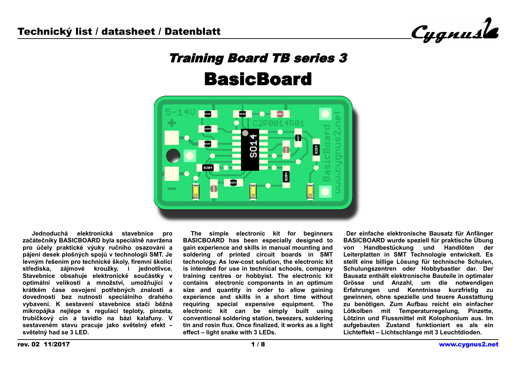Cygnusle

# Training Board TB series 3 **BasicBoard**



 **Jednoduchá elektronická stavebnice pro začátečníky BASICBOARD byla speciálně navržena pro účely praktické výuky ručního osazování a pájení desek plošných spojů v technologii SMT. Je levným řešením pro technické školy, firemní školící střediska, zájmové kroužky, i jednotlivce. Stavebnice obsahuje elektronické součástky v optimální velikosti a množství, umožňující v krátkém čase osvojení potřebných znalostí a dovedností bez nutnosti speciálního drahého vybavení. K sestavení stavebnice stačí běžná mikropájka nejlépe s regulací teploty, pinzeta, trubičkový cín a tavidlo na bázi kalafuny. V sestaveném stavu pracuje jako světelný efekt – světelný had se 3 LED.**

 **The simple electronic kit for beginners BASICBOARD has been especially designed to gain experience and skills in manual mounting and soldering of printed circuit boards in SMT technology. As low-cost solution, the electronic kit is intended for use in technical schools, company training centres or hobbyist. The electronic kit contains electronic components in an optimum size and quantity in order to allow gaining experience and skills in a short time without requiring special expensive equipment. The electronic kit can be simply built using conventional soldering station, tweezers, soldering tin and rosin flux. Once finalized, it works as a light effect – light snake with 3 LEDs.**

 **Der einfache elektronische Bausatz für Anfänger BASICBOARD wurde speziell für praktische Übung von Handbestückung und Handlöten der Leiterplatten in SMT Technologie entwickelt. Es stellt eine billige Lösung für technische Schulen, Schulungszentren oder Hobbybastler dar. Der Bausatz enthält elektronische Bauteile in optimaler Grösse und Anzahl, um die notwendigen Erfahrungen und Kenntnisse kurzfristig zu gewinnen, ohne spezielle und teuere Ausstattung zu benötigen. Zum Aufbau reicht ein einfacher Lötkolben mit Temperaturregelung, Pinzette, Lötzinn und Flussmittel mit Kolophonium aus. Im aufgebauten Zustand funktioniert es als ein Lichteffekt – Lichtschlange mit 3 Leuchtdioden.**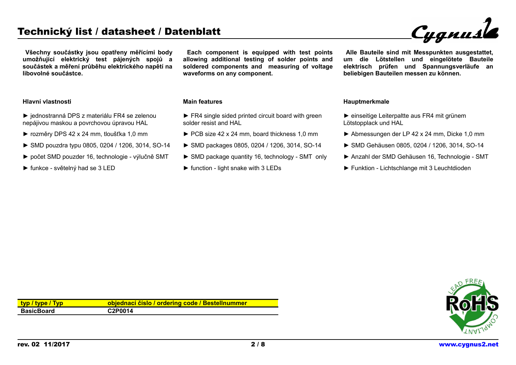# Technický list / datasheet / Datenblatt

**Všechny součástky jsou opatřeny měřícími body umožňující elektrický test pájených spojů a součástek a měření průběhu elektrického napětí na libovolné součástce.**

► jednostranná DPS z materiálu FR4 se zelenou nepájivou maskou a povrchovou úpravou HAL ► rozměry DPS 42 x 24 mm, tloušťka 1,0 mm

► funkce - světelný had se 3 LED

► SMD pouzdra typu 0805, 0204 / 1206, 3014, SO-14 ► počet SMD pouzder 16, technologie - výlučně SMT

**Each component is equipped with test points allowing additional testing of solder points and soldered components and measuring of voltage waveforms on any component.**

## **Main features**

- $\blacktriangleright$  FR4 single sided printed circuit board with green solder resist and HAL
- ► PCB size 42 x 24 mm, board thickness 1,0 mm
- ► SMD packages 0805, 0204 / 1206, 3014, SO-14
- ► SMD package quantity 16, technology SMT only
- $\blacktriangleright$  function light snake with 3 LEDs

**Alle Bauteile sind mit Messpunkten ausgestattet, um die Lötstellen und eingelötete Bauteile elektrisch prüfen und Spannungsverläufe an beliebigen Bauteilen messen zu können.**

#### **Hauptmerkmale**

- ► einseitige Leiterpaltte aus FR4 mit grünem Lötstopplack und HAL
- ► Abmessungen der LP 42 x 24 mm, Dicke 1,0 mm
- ► SMD Gehäusen 0805, 0204 / 1206, 3014, SO-14
- ► Anzahl der SMD Gehäusen 16, Technologie SMT
- ► Funktion Lichtschlange mit 3 Leuchtdioden

| <u>typ / type / Typ</u> | objednací číslo / ordering code / Bestellnummer |
|-------------------------|-------------------------------------------------|
| BasicBoard              | C2P0014                                         |



**Hlavní vlastnosti**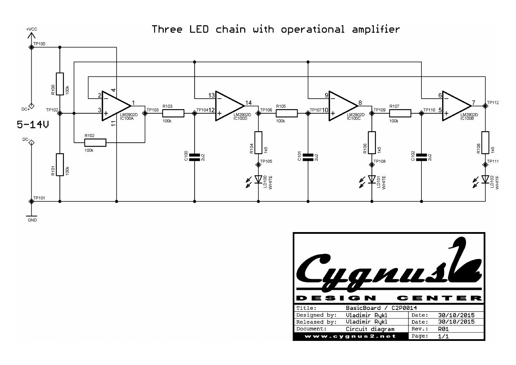



Three LED chain with operational amplifier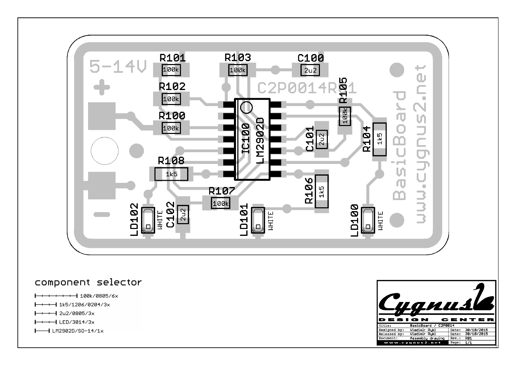

## component selector

- $+ + + + -$  100k/0805/6x  $\overline{\phantom{0}}$
- $\rightarrow$  1k5/1206/0204/3x
- $\rightarrow$   $\rightarrow$  2u2/0805/3x
- $\leftarrow$  LED/3014/3x
- $\rightarrow$  LM2902D/S0-14/1x

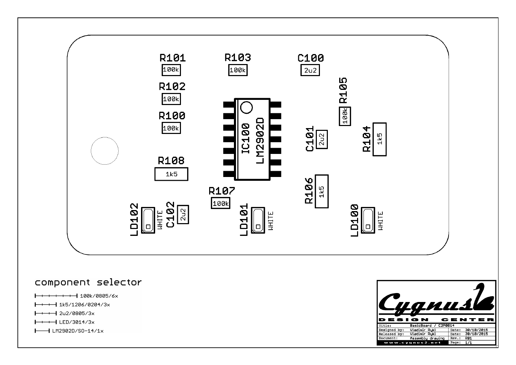

## component selector

- $+ + + +$  100k/0805/6x  $\overline{\phantom{0}}$
- $\rightarrow$  1k5/1206/0204/3x
- $\rightarrow$   $\rightarrow$  2u2/0805/3x
- $\leftarrow$  +  $\leftarrow$  LED/3014/3x
- $\rightarrow$  LM2902D/S0-14/1x

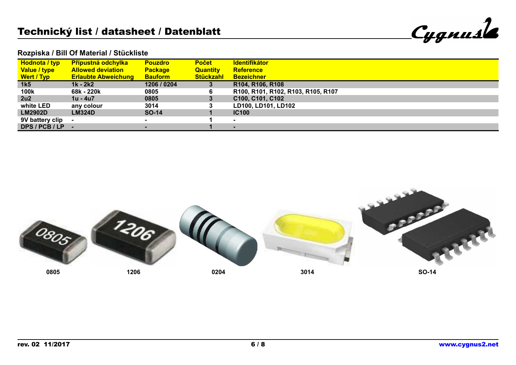| <b>Cygnusle</b> |
|-----------------|
|                 |

#### **Rozpiska / Bill Of Material / Stückliste**

| <b>Hodnota / typ</b> | <b>Přípustná odchylka</b>  | <b>Pouzdro</b> | <b>Počet</b>     | <b>Identifikátor</b>               |
|----------------------|----------------------------|----------------|------------------|------------------------------------|
| Value / type         | <b>Allowed deviation</b>   | <b>Package</b> | <b>Quantity</b>  | <b>Reference</b>                   |
| Wert / Typ           | <b>Erlaubte Abweichung</b> | <b>Bauform</b> | <b>Stückzahl</b> | <b>Bezeichner</b>                  |
| 1k5                  | 1k - 2k2                   | 1206 / 0204    | 3                | R104, R106, R108                   |
| 100k                 | 68k - 220k                 | 0805           | 6                | R100, R101, R102, R103, R105, R107 |
| 2u2                  | 1u - 4u7                   | 0805           | 3                | C100, C101, C102                   |
| white LED            | any colour                 | 3014           | 3                | LD100, LD101, LD102                |
| <b>LM2902D</b>       | <b>LM324D</b>              | <b>SO-14</b>   |                  | <b>IC100</b>                       |
| 9V battery clip      |                            | $\sim$         |                  | $\blacksquare$                     |
| DPS/PCB/LP -         |                            |                |                  |                                    |

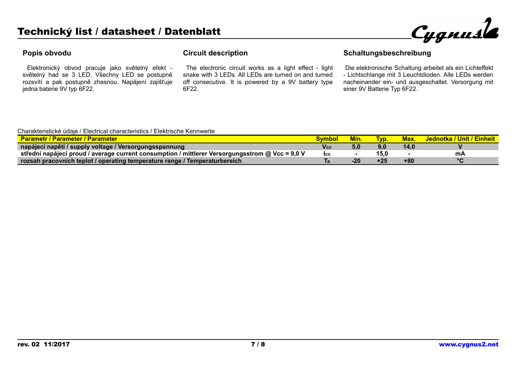

#### **Popis obvodu**

 Elektronický obvod pracuje jako světelný efekt světelný had se 3 LED. Všechny LED se postupně rozsvítí a pak postupně zhasnou. Napájení zajišťuje jedna baterie 9V typ 6F22.

#### **Circuit description**

 The electronic circuit works as a light effect - light snake with 3 LEDs. All LEDs are turned on and turned off consecutive. It is powered by a 9V battery type 6F22.

## **Schaltungsbeschreibung**

 Die elektronische Schaltung arbeitet als ein Lichteffekt - Lichtschlange mit 3 Leuchtdioden. Alle LEDs werden nacheinander ein- und ausgeschaltet. Versorgung mit einer 9V Batterie Typ 6F22.

#### Charakteristické údaje / Electrical characteristics / Elektrische Kennwerte

| <mark>∕ Parametr / Parameter / Parameter∕</mark>                                                |     | vım.  | WD.  | <b>Max</b> | Nednotka / Unit / Einheit |
|-------------------------------------------------------------------------------------------------|-----|-------|------|------------|---------------------------|
| napájecí napětí / supply voltage / Versorgungsspannung                                          | Vcc |       | 9,0  | 14.0       |                           |
| strední napájecí proud / average current consumption / mittlerer Versorgungsstrom @ Vcc = 9,0 V | lcc |       | 15.0 |            | mА                        |
| rozsah pracovních teplot / operating temperature range / Temperaturbereich                      |     | $-20$ |      | +80        | $\circ$                   |